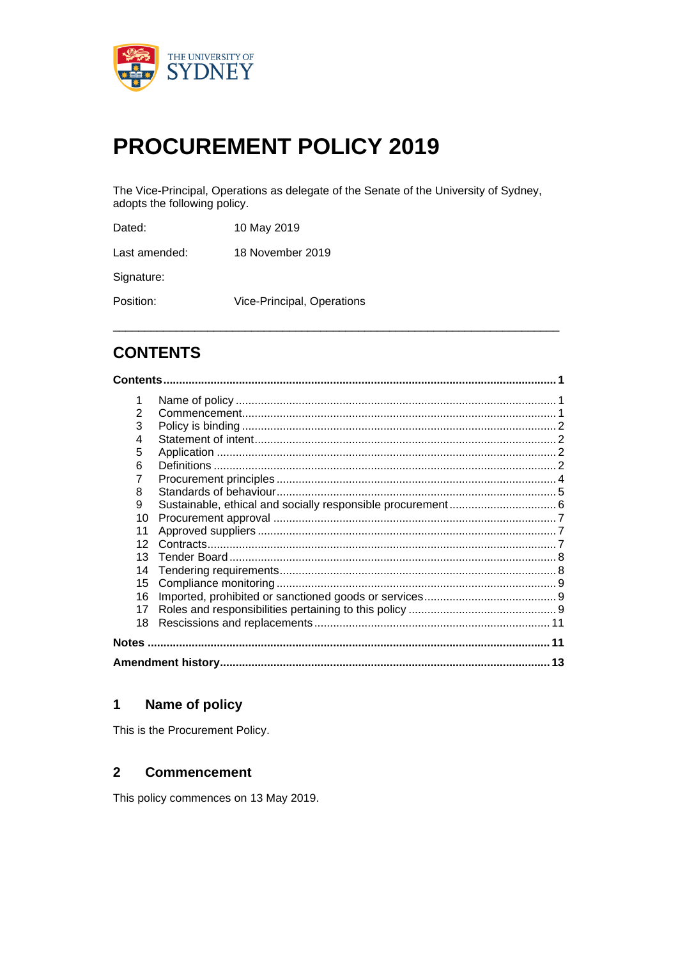

# **PROCUREMENT POLICY 2019**

The Vice-Principal, Operations as delegate of the Senate of the University of Sydney, adopts the following policy.

| Dated:        | 10 May 2019                |
|---------------|----------------------------|
| Last amended: | 18 November 2019           |
| Signature:    |                            |
| Position:     | Vice-Principal, Operations |
|               |                            |

## **CONTENTS**

| 1  |  |  |
|----|--|--|
| 2  |  |  |
| 3  |  |  |
| 4  |  |  |
| 5  |  |  |
| 6  |  |  |
| 7  |  |  |
| 8  |  |  |
| 9  |  |  |
| 10 |  |  |
| 11 |  |  |
| 12 |  |  |
| 13 |  |  |
| 14 |  |  |
| 15 |  |  |
| 16 |  |  |
| 17 |  |  |
| 18 |  |  |
|    |  |  |
| 13 |  |  |

#### $\mathbf{1}$ Name of policy

This is the Procurement Policy.

#### $\overline{2}$ **Commencement**

This policy commences on 13 May 2019.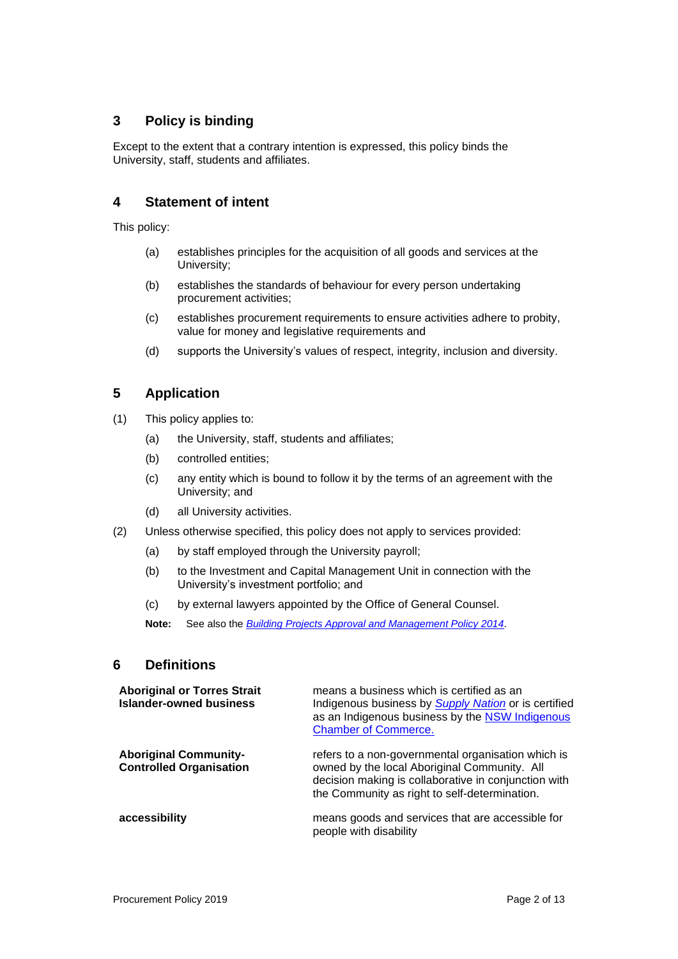### **3 Policy is binding**

Except to the extent that a contrary intention is expressed, this policy binds the University, staff, students and affiliates.

#### **4 Statement of intent**

This policy:

- (a) establishes principles for the acquisition of all goods and services at the University;
- (b) establishes the standards of behaviour for every person undertaking procurement activities;
- (c) establishes procurement requirements to ensure activities adhere to probity, value for money and legislative requirements and
- (d) supports the University's values of respect, integrity, inclusion and diversity.

### **5 Application**

- (1) This policy applies to:
	- (a) the University, staff, students and affiliates;
	- (b) controlled entities;
	- (c) any entity which is bound to follow it by the terms of an agreement with the University; and
	- (d) all University activities.
- (2) Unless otherwise specified, this policy does not apply to services provided:
	- (a) by staff employed through the University payroll;
	- (b) to the Investment and Capital Management Unit in connection with the University's investment portfolio; and
	- (c) by external lawyers appointed by the Office of General Counsel.

**Note:** See also the *Building Projects Approval and Management Policy 2014.* 

#### **6 Definitions**

| <b>Aboriginal or Torres Strait</b><br><b>Islander-owned business</b> | means a business which is certified as an<br>Indigenous business by <i>Supply Nation</i> or is certified<br>as an Indigenous business by the NSW Indigenous<br><b>Chamber of Commerce.</b>                  |
|----------------------------------------------------------------------|-------------------------------------------------------------------------------------------------------------------------------------------------------------------------------------------------------------|
| <b>Aboriginal Community-</b><br><b>Controlled Organisation</b>       | refers to a non-governmental organisation which is<br>owned by the local Aboriginal Community. All<br>decision making is collaborative in conjunction with<br>the Community as right to self-determination. |
| accessibility                                                        | means goods and services that are accessible for<br>people with disability                                                                                                                                  |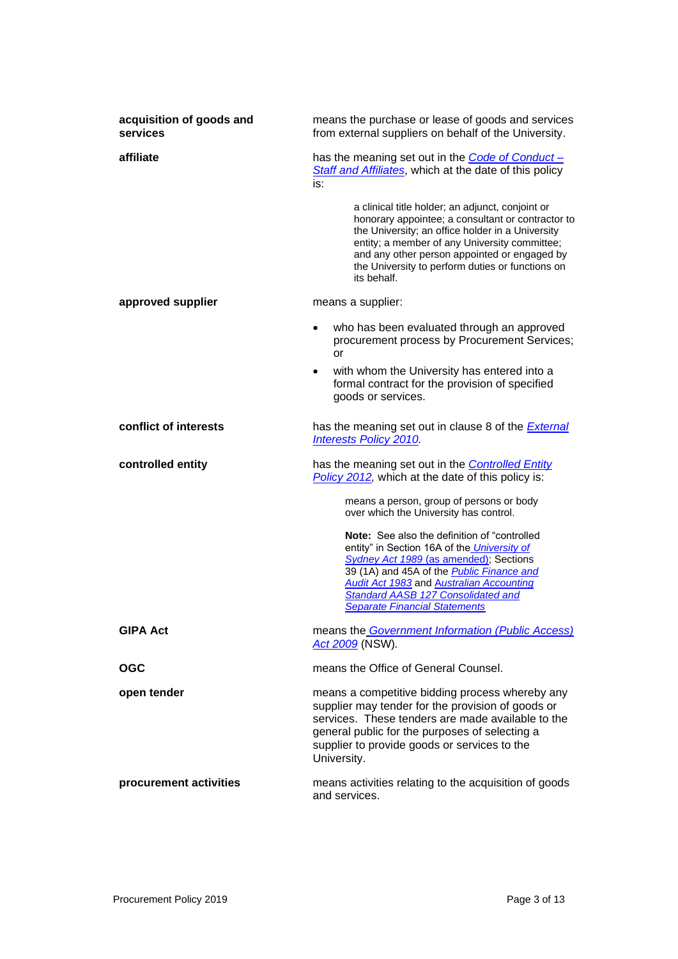| acquisition of goods and<br>services | means the purchase or lease of goods and services<br>from external suppliers on behalf of the University.                                                                                                                                                                                                                                 |  |
|--------------------------------------|-------------------------------------------------------------------------------------------------------------------------------------------------------------------------------------------------------------------------------------------------------------------------------------------------------------------------------------------|--|
| affiliate                            | has the meaning set out in the Code of Conduct -<br>Staff and Affiliates, which at the date of this policy<br>is:                                                                                                                                                                                                                         |  |
|                                      | a clinical title holder; an adjunct, conjoint or<br>honorary appointee; a consultant or contractor to<br>the University; an office holder in a University<br>entity; a member of any University committee;<br>and any other person appointed or engaged by<br>the University to perform duties or functions on<br>its behalf.             |  |
| approved supplier                    | means a supplier:                                                                                                                                                                                                                                                                                                                         |  |
|                                      | who has been evaluated through an approved<br>$\bullet$<br>procurement process by Procurement Services;<br>or                                                                                                                                                                                                                             |  |
|                                      | with whom the University has entered into a<br>formal contract for the provision of specified<br>goods or services.                                                                                                                                                                                                                       |  |
| conflict of interests                | has the meaning set out in clause 8 of the <b>External</b><br><b>Interests Policy 2010</b>                                                                                                                                                                                                                                                |  |
| controlled entity                    | has the meaning set out in the <b>Controlled Entity</b><br>Policy 2012, which at the date of this policy is:                                                                                                                                                                                                                              |  |
|                                      | means a person, group of persons or body<br>over which the University has control.                                                                                                                                                                                                                                                        |  |
|                                      | Note: See also the definition of "controlled"<br>entity" in Section 16A of the University of<br>Sydney Act 1989 (as amended); Sections<br>39 (1A) and 45A of the <b>Public Finance and</b><br><b>Audit Act 1983</b> and <b>Australian Accounting</b><br><b>Standard AASB 127 Consolidated and</b><br><b>Separate Financial Statements</b> |  |
| <b>GIPA Act</b>                      | means the Government Information (Public Access)<br>Act 2009 (NSW).                                                                                                                                                                                                                                                                       |  |
| <b>OGC</b>                           | means the Office of General Counsel.                                                                                                                                                                                                                                                                                                      |  |
| open tender                          | means a competitive bidding process whereby any<br>supplier may tender for the provision of goods or<br>services. These tenders are made available to the<br>general public for the purposes of selecting a<br>supplier to provide goods or services to the<br>University.                                                                |  |
| procurement activities               | means activities relating to the acquisition of goods<br>and services.                                                                                                                                                                                                                                                                    |  |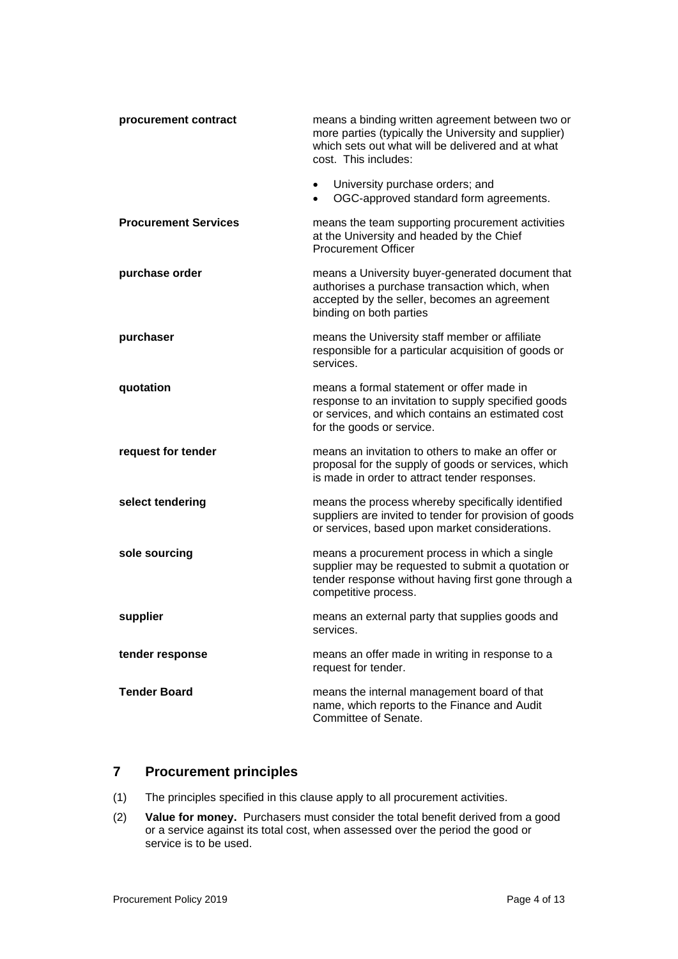| procurement contract        | means a binding written agreement between two or<br>more parties (typically the University and supplier)<br>which sets out what will be delivered and at what<br>cost. This includes:<br>University purchase orders; and<br>$\bullet$ |
|-----------------------------|---------------------------------------------------------------------------------------------------------------------------------------------------------------------------------------------------------------------------------------|
|                             | OGC-approved standard form agreements.<br>$\bullet$                                                                                                                                                                                   |
| <b>Procurement Services</b> | means the team supporting procurement activities<br>at the University and headed by the Chief<br><b>Procurement Officer</b>                                                                                                           |
| purchase order              | means a University buyer-generated document that<br>authorises a purchase transaction which, when<br>accepted by the seller, becomes an agreement<br>binding on both parties                                                          |
| purchaser                   | means the University staff member or affiliate<br>responsible for a particular acquisition of goods or<br>services.                                                                                                                   |
| quotation                   | means a formal statement or offer made in<br>response to an invitation to supply specified goods<br>or services, and which contains an estimated cost<br>for the goods or service.                                                    |
| request for tender          | means an invitation to others to make an offer or<br>proposal for the supply of goods or services, which<br>is made in order to attract tender responses.                                                                             |
| select tendering            | means the process whereby specifically identified<br>suppliers are invited to tender for provision of goods<br>or services, based upon market considerations.                                                                         |
| sole sourcing               | means a procurement process in which a single<br>supplier may be requested to submit a quotation or<br>tender response without having first gone through a<br>competitive process.                                                    |
| supplier                    | means an external party that supplies goods and<br>services.                                                                                                                                                                          |
| tender response             | means an offer made in writing in response to a<br>request for tender.                                                                                                                                                                |
| <b>Tender Board</b>         | means the internal management board of that<br>name, which reports to the Finance and Audit<br>Committee of Senate.                                                                                                                   |

### **7 Procurement principles**

- (1) The principles specified in this clause apply to all procurement activities.
- (2) **Value for money.** Purchasers must consider the total benefit derived from a good or a service against its total cost, when assessed over the period the good or service is to be used.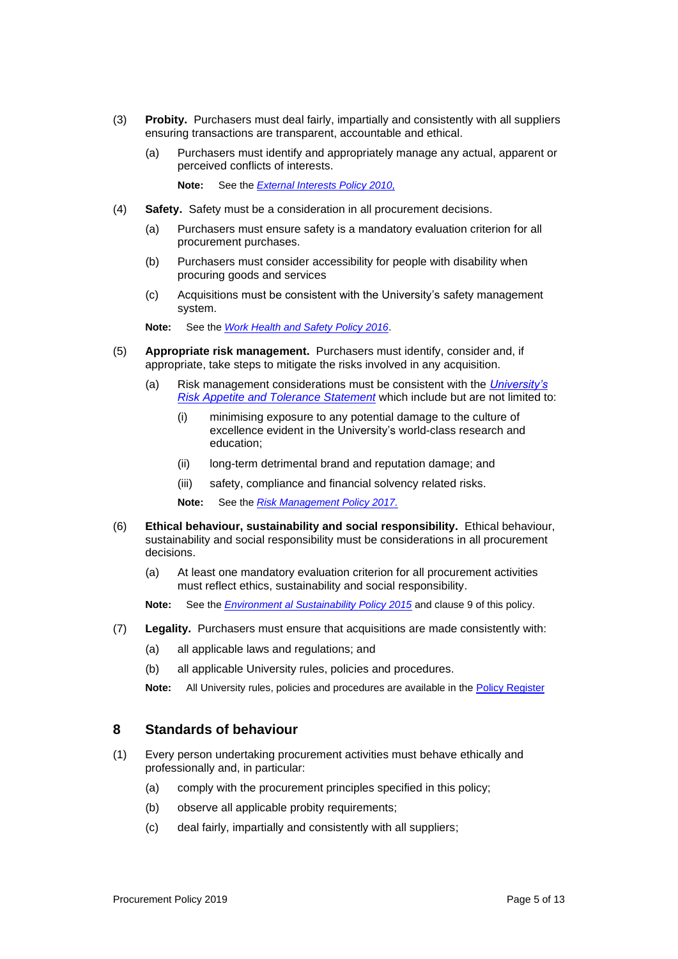- (3) **Probity.** Purchasers must deal fairly, impartially and consistently with all suppliers ensuring transactions are transparent, accountable and ethical.
	- (a) Purchasers must identify and appropriately manage any actual, apparent or perceived conflicts of interests.

**Note:** See the *External Interests Policy 2010,*

- (4) **Safety.** Safety must be a consideration in all procurement decisions.
	- (a) Purchasers must ensure safety is a mandatory evaluation criterion for all procurement purchases.
	- (b) Purchasers must consider accessibility for people with disability when procuring goods and services
	- (c) Acquisitions must be consistent with the University's safety management system.

**Note:** See the *Work Health and Safety Policy 2016*.

- (5) **Appropriate risk management.** Purchasers must identify, consider and, if appropriate, take steps to mitigate the risks involved in any acquisition.
	- (a) Risk management considerations must be consistent with the *University's Risk Appetite and Tolerance Statement* which include but are not limited to:
		- (i) minimising exposure to any potential damage to the culture of excellence evident in the University's world-class research and education;
		- (ii) long-term detrimental brand and reputation damage; and
		- (iii) safety, compliance and financial solvency related risks.

**Note:** See the *Risk Management Policy 2017.*

- (6) **Ethical behaviour, sustainability and social responsibility.** Ethical behaviour, sustainability and social responsibility must be considerations in all procurement decisions.
	- (a) At least one mandatory evaluation criterion for all procurement activities must reflect ethics, sustainability and social responsibility.

**Note:** See the *Environment al Sustainability Policy 2015* and clause 9 of this policy.

- (7) **Legality.** Purchasers must ensure that acquisitions are made consistently with:
	- (a) all applicable laws and regulations; and
	- (b) all applicable University rules, policies and procedures.
	- **Note:** All University rules, policies and procedures are available in the Policy Register

#### **8 Standards of behaviour**

- (1) Every person undertaking procurement activities must behave ethically and professionally and, in particular:
	- (a) comply with the procurement principles specified in this policy;
	- (b) observe all applicable probity requirements;
	- (c) deal fairly, impartially and consistently with all suppliers;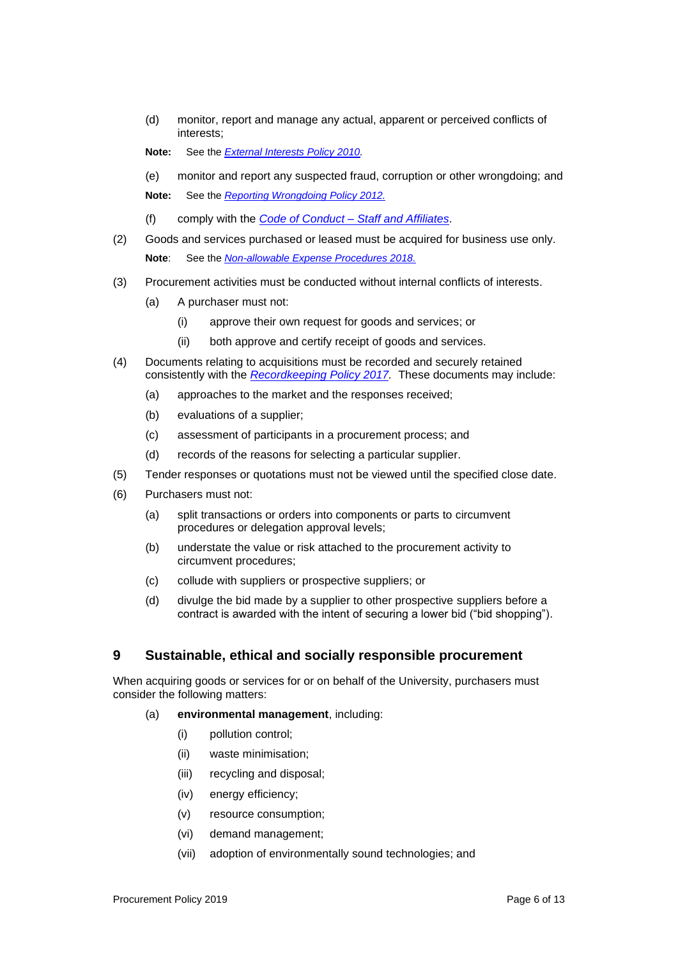(d) monitor, report and manage any actual, apparent or perceived conflicts of interests;

**Note:** See the *External Interests Policy 2010.*

(e) monitor and report any suspected fraud, corruption or other wrongdoing; and

**Note:** See the *Reporting Wrongdoing Policy 2012.*

- (f) comply with the *Code of Conduct – Staff and Affiliates*.
- (2) Goods and services purchased or leased must be acquired for business use only. **Note**: See the *Non-allowable Expense Procedures 2018.*
- (3) Procurement activities must be conducted without internal conflicts of interests.
	- (a) A purchaser must not:
		- (i) approve their own request for goods and services; or
		- (ii) both approve and certify receipt of goods and services.
- (4) Documents relating to acquisitions must be recorded and securely retained consistently with the *Recordkeeping Policy 2017.* These documents may include:
	- (a) approaches to the market and the responses received;
	- (b) evaluations of a supplier;
	- (c) assessment of participants in a procurement process; and
	- (d) records of the reasons for selecting a particular supplier.
- (5) Tender responses or quotations must not be viewed until the specified close date.
- (6) Purchasers must not:
	- (a) split transactions or orders into components or parts to circumvent procedures or delegation approval levels;
	- (b) understate the value or risk attached to the procurement activity to circumvent procedures;
	- (c) collude with suppliers or prospective suppliers; or
	- (d) divulge the bid made by a supplier to other prospective suppliers before a contract is awarded with the intent of securing a lower bid ("bid shopping").

#### **9 Sustainable, ethical and socially responsible procurement**

When acquiring goods or services for or on behalf of the University, purchasers must consider the following matters:

- (a) **environmental management**, including:
	- (i) pollution control;
	- (ii) waste minimisation;
	- (iii) recycling and disposal;
	- (iv) energy efficiency;
	- (v) resource consumption;
	- (vi) demand management;
	- (vii) adoption of environmentally sound technologies; and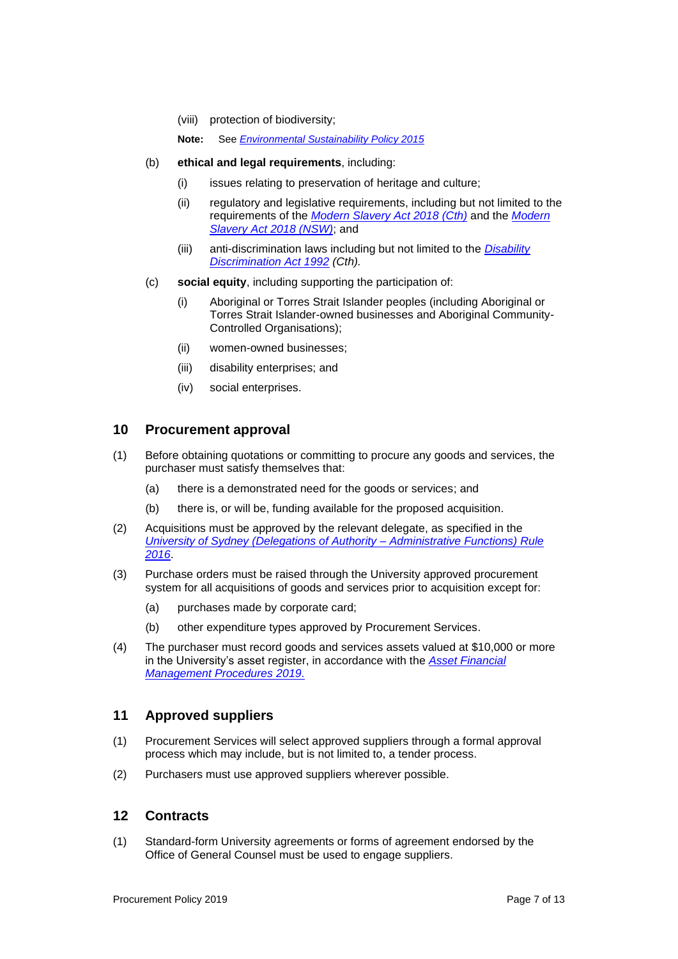- (viii) protection of biodiversity;
- **Note:** See *Environmental Sustainability Policy 2015*
- (b) **ethical and legal requirements**, including:
	- (i) issues relating to preservation of heritage and culture;
	- (ii) regulatory and legislative requirements, including but not limited to the requirements of the *Modern Slavery Act 2018 (Cth)* and the *Modern Slavery Act 2018 (NSW)*; and
	- (iii) anti-discrimination laws including but not limited to the *Disability Discrimination Act 1992 (Cth).*
- (c) **social equity**, including supporting the participation of:
	- (i) Aboriginal or Torres Strait Islander peoples (including Aboriginal or Torres Strait Islander-owned businesses and Aboriginal Community-Controlled Organisations);
	- (ii) women-owned businesses;
	- (iii) disability enterprises; and
	- (iv) social enterprises.

#### **10 Procurement approval**

- (1) Before obtaining quotations or committing to procure any goods and services, the purchaser must satisfy themselves that:
	- (a) there is a demonstrated need for the goods or services; and
	- (b) there is, or will be, funding available for the proposed acquisition.
- (2) Acquisitions must be approved by the relevant delegate, as specified in the *University of Sydney (Delegations of Authority – Administrative Functions) Rule 2016*.
- (3) Purchase orders must be raised through the University approved procurement system for all acquisitions of goods and services prior to acquisition except for:
	- (a) purchases made by corporate card;
	- (b) other expenditure types approved by Procurement Services.
- (4) The purchaser must record goods and services assets valued at \$10,000 or more in the University's asset register, in accordance with the *Asset Financial Management Procedures 2019*.

#### **11 Approved suppliers**

- (1) Procurement Services will select approved suppliers through a formal approval process which may include, but is not limited to, a tender process.
- (2) Purchasers must use approved suppliers wherever possible.

#### **12 Contracts**

(1) Standard-form University agreements or forms of agreement endorsed by the Office of General Counsel must be used to engage suppliers.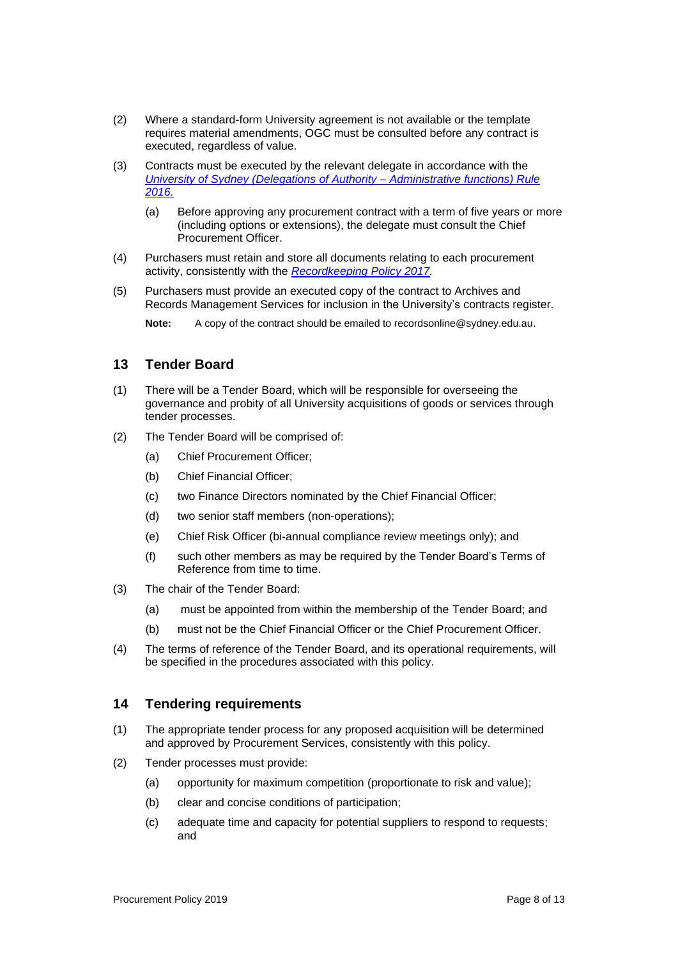- (2) Where a standard-form University agreement is not available or the template requires material amendments, OGC must be consulted before any contract is executed, regardless of value.
- (3) Contracts must be executed by the relevant delegate in accordance with the *University of Sydney (Delegations of Authority – Administrative functions) Rule 2016.*
	- (a) Before approving any procurement contract with a term of five years or more (including options or extensions), the delegate must consult the Chief Procurement Officer.
- (4) Purchasers must retain and store all documents relating to each procurement activity, consistently with the *Recordkeeping Policy 2017.*
- (5) Purchasers must provide an executed copy of the contract to Archives and Records Management Services for inclusion in the University's contracts register.

**Note:** A copy of the contract should be emailed to recordsonline@sydney.edu.au.

#### **13 Tender Board**

- (1) There will be a Tender Board, which will be responsible for overseeing the governance and probity of all University acquisitions of goods or services through tender processes.
- (2) The Tender Board will be comprised of:
	- (a) Chief Procurement Officer;
	- (b) Chief Financial Officer;
	- (c) two Finance Directors nominated by the Chief Financial Officer;
	- (d) two senior staff members (non-operations);
	- (e) Chief Risk Officer (bi-annual compliance review meetings only); and
	- (f) such other members as may be required by the Tender Board's Terms of Reference from time to time.
- (3) The chair of the Tender Board:
	- (a) must be appointed from within the membership of the Tender Board; and
	- (b) must not be the Chief Financial Officer or the Chief Procurement Officer.
- (4) The terms of reference of the Tender Board, and its operational requirements, will be specified in the procedures associated with this policy.

#### **14 Tendering requirements**

- (1) The appropriate tender process for any proposed acquisition will be determined and approved by Procurement Services, consistently with this policy.
- (2) Tender processes must provide:
	- (a) opportunity for maximum competition (proportionate to risk and value);
	- (b) clear and concise conditions of participation;
	- (c) adequate time and capacity for potential suppliers to respond to requests; and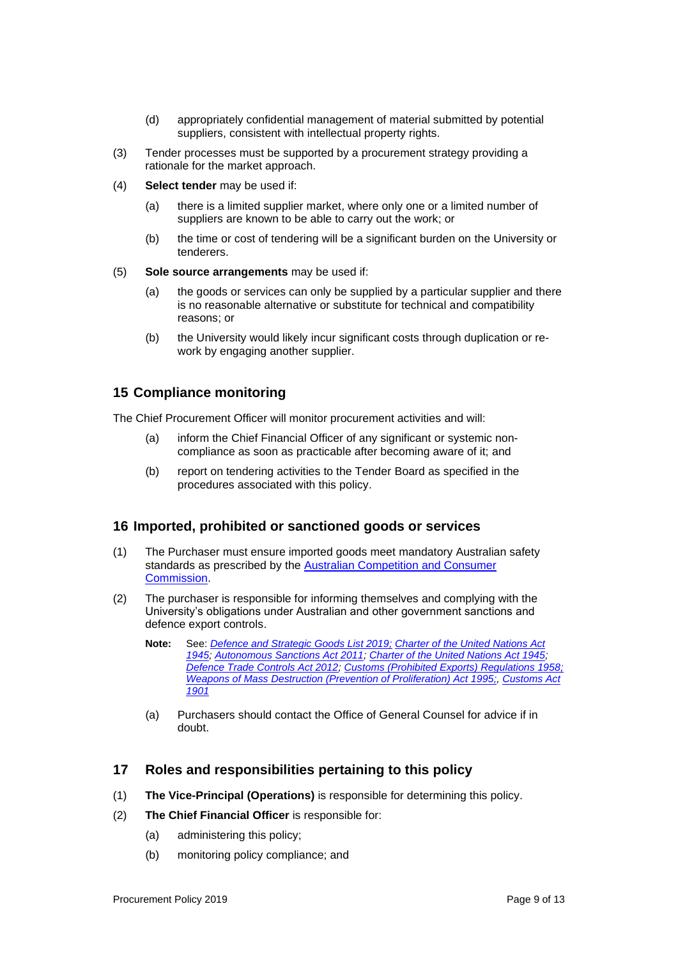- (d) appropriately confidential management of material submitted by potential suppliers, consistent with intellectual property rights.
- (3) Tender processes must be supported by a procurement strategy providing a rationale for the market approach.
- (4) **Select tender** may be used if:
	- (a) there is a limited supplier market, where only one or a limited number of suppliers are known to be able to carry out the work; or
	- (b) the time or cost of tendering will be a significant burden on the University or tenderers.
- (5) **Sole source arrangements** may be used if:
	- (a) the goods or services can only be supplied by a particular supplier and there is no reasonable alternative or substitute for technical and compatibility reasons; or
	- (b) the University would likely incur significant costs through duplication or rework by engaging another supplier.

### **15 Compliance monitoring**

The Chief Procurement Officer will monitor procurement activities and will:

- (a) inform the Chief Financial Officer of any significant or systemic noncompliance as soon as practicable after becoming aware of it; and
- (b) report on tendering activities to the Tender Board as specified in the procedures associated with this policy.

#### **16 Imported, prohibited or sanctioned goods or services**

- (1) The Purchaser must ensure imported goods meet mandatory Australian safety standards as prescribed by the Australian Competition and Consumer Commission.
- (2) The purchaser is responsible for informing themselves and complying with the University's obligations under Australian and other government sanctions and defence export controls.
	- **Note:** See: *Defence and Strategic Goods List 2019; Charter of the United Nations Act 1945; Autonomous Sanctions Act 2011; Charter of the United Nations Act 1945; Defence Trade Controls Act 2012; Customs (Prohibited Exports) Regulations 1958; Weapons of Mass Destruction (Prevention of Proliferation) Act 1995;, Customs Act 1901*
	- (a) Purchasers should contact the Office of General Counsel for advice if in doubt.

#### **17 Roles and responsibilities pertaining to this policy**

- (1) **The Vice-Principal (Operations)** is responsible for determining this policy.
- (2) **The Chief Financial Officer** is responsible for:
	- (a) administering this policy;
	- (b) monitoring policy compliance; and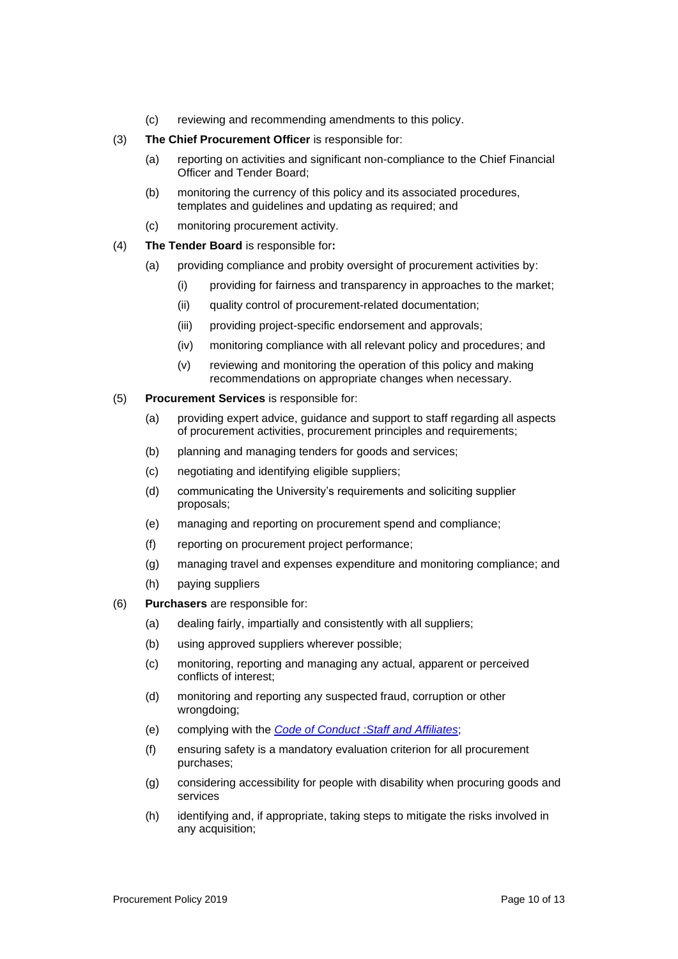- (c) reviewing and recommending amendments to this policy.
- (3) **The Chief Procurement Officer** is responsible for:
	- (a) reporting on activities and significant non-compliance to the Chief Financial Officer and Tender Board;
	- (b) monitoring the currency of this policy and its associated procedures, templates and guidelines and updating as required; and
	- (c) monitoring procurement activity.
- (4) **The Tender Board** is responsible for**:**
	- (a) providing compliance and probity oversight of procurement activities by:
		- (i) providing for fairness and transparency in approaches to the market;
		- (ii) quality control of procurement-related documentation;
		- (iii) providing project-specific endorsement and approvals;
		- (iv) monitoring compliance with all relevant policy and procedures; and
		- (v) reviewing and monitoring the operation of this policy and making recommendations on appropriate changes when necessary.
- (5) **Procurement Services** is responsible for:
	- (a) providing expert advice, guidance and support to staff regarding all aspects of procurement activities, procurement principles and requirements;
	- (b) planning and managing tenders for goods and services;
	- (c) negotiating and identifying eligible suppliers;
	- (d) communicating the University's requirements and soliciting supplier proposals;
	- (e) managing and reporting on procurement spend and compliance;
	- (f) reporting on procurement project performance;
	- (g) managing travel and expenses expenditure and monitoring compliance; and
	- (h) paying suppliers
- (6) **Purchasers** are responsible for:
	- (a) dealing fairly, impartially and consistently with all suppliers;
	- (b) using approved suppliers wherever possible;
	- (c) monitoring, reporting and managing any actual, apparent or perceived conflicts of interest;
	- (d) monitoring and reporting any suspected fraud, corruption or other wrongdoing;
	- (e) complying with the *Code of Conduct :Staff and Affiliates*;
	- (f) ensuring safety is a mandatory evaluation criterion for all procurement purchases;
	- (g) considering accessibility for people with disability when procuring goods and services
	- (h) identifying and, if appropriate, taking steps to mitigate the risks involved in any acquisition;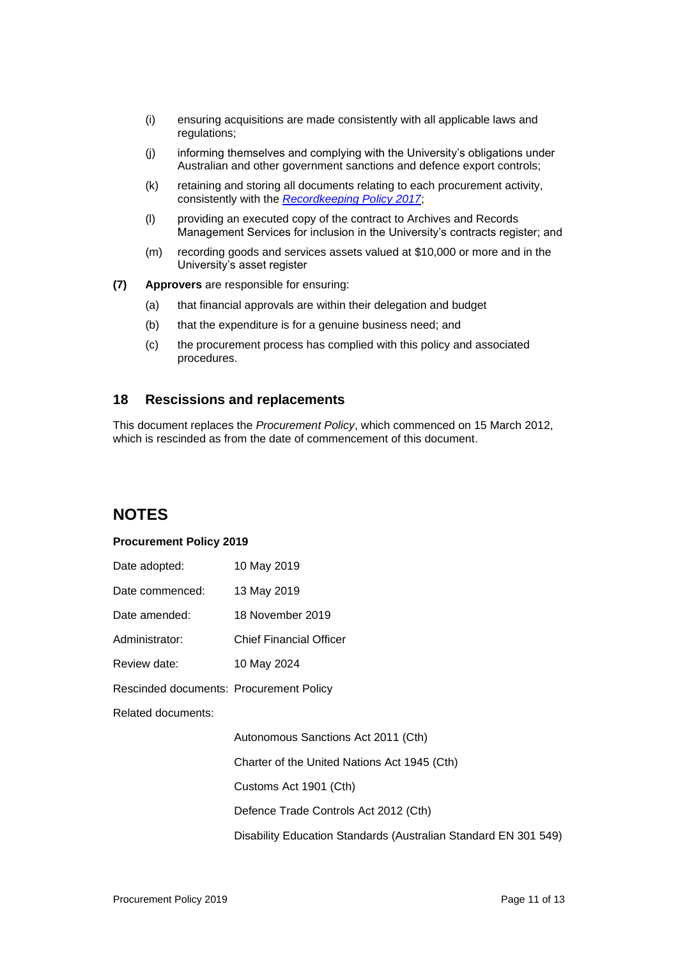- (i) ensuring acquisitions are made consistently with all applicable laws and regulations;
- (j) informing themselves and complying with the University's obligations under Australian and other government sanctions and defence export controls;
- (k) retaining and storing all documents relating to each procurement activity, consistently with the *Recordkeeping Policy 2017*;
- (l) providing an executed copy of the contract to Archives and Records Management Services for inclusion in the University's contracts register; and
- (m) recording goods and services assets valued at \$10,000 or more and in the University's asset register
- **(7) Approvers** are responsible for ensuring:
	- (a) that financial approvals are within their delegation and budget
	- (b) that the expenditure is for a genuine business need; and
	- (c) the procurement process has complied with this policy and associated procedures.

#### **18 Rescissions and replacements**

This document replaces the *Procurement Policy*, which commenced on 15 March 2012, which is rescinded as from the date of commencement of this document.

### **NOTES**

#### **Procurement Policy 2019**

| Date adopted:                           | 10 May 2019                                                     |
|-----------------------------------------|-----------------------------------------------------------------|
| Date commenced:                         | 13 May 2019                                                     |
| Date amended:                           | 18 November 2019                                                |
| Administrator:                          | <b>Chief Financial Officer</b>                                  |
| Review date:                            | 10 May 2024                                                     |
| Rescinded documents: Procurement Policy |                                                                 |
| Related documents:                      |                                                                 |
|                                         | Autonomous Sanctions Act 2011 (Cth)                             |
|                                         | Charter of the United Nations Act 1945 (Cth)                    |
|                                         | Customs Act 1901 (Cth)                                          |
|                                         | Defence Trade Controls Act 2012 (Cth)                           |
|                                         | Disability Education Standards (Australian Standard EN 301 549) |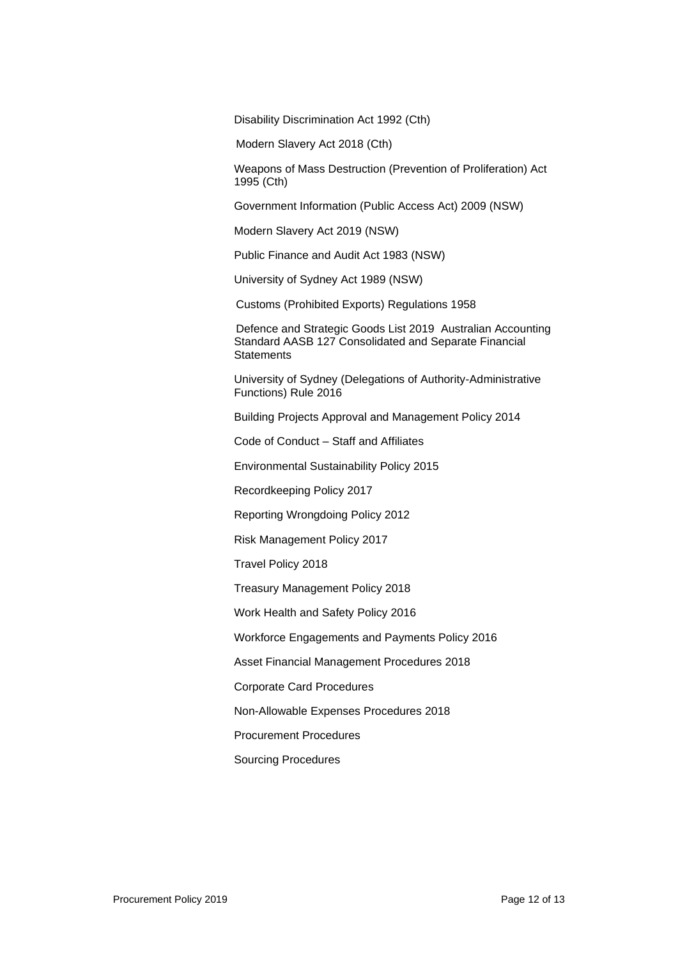Disability Discrimination Act 1992 (Cth)

Modern Slavery Act 2018 (Cth)

Weapons of Mass Destruction (Prevention of Proliferation) Act 1995 (Cth)

Government Information (Public Access Act) 2009 (NSW)

Modern Slavery Act 2019 (NSW)

Public Finance and Audit Act 1983 (NSW)

University of Sydney Act 1989 (NSW)

Customs (Prohibited Exports) Regulations 1958

Defence and Strategic Goods List 2019 Australian Accounting Standard AASB 127 Consolidated and Separate Financial **Statements** 

University of Sydney (Delegations of Authority-Administrative Functions) Rule 2016

Building Projects Approval and Management Policy 2014

Code of Conduct – Staff and Affiliates

Environmental Sustainability Policy 2015

Recordkeeping Policy 2017

Reporting Wrongdoing Policy 2012

Risk Management Policy 2017

Travel Policy 2018

Treasury Management Policy 2018

Work Health and Safety Policy 2016

Workforce Engagements and Payments Policy 2016

Asset Financial Management Procedures 2018

Corporate Card Procedures

Non-Allowable Expenses Procedures 2018

Procurement Procedures

Sourcing Procedures